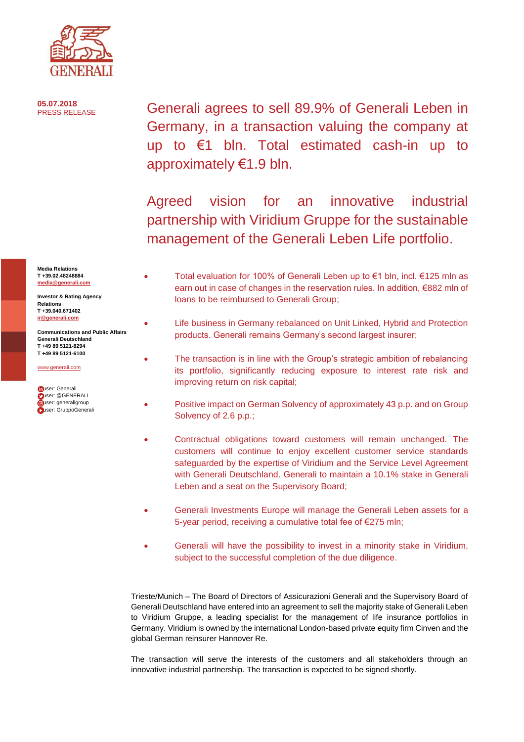

**05.07.2018**

Generali agrees to sell 89.9% of Generali Leben in Germany, in a transaction valuing the company at up to €1 bln. Total estimated cash-in up to approximately €1.9 bln.

Agreed vision for an innovative industrial partnership with Viridium Gruppe for the sustainable management of the Generali Leben Life portfolio.

- Total evaluation for 100% of Generali Leben up to €1 bln, incl. €125 mln as earn out in case of changes in the reservation rules. In addition, €882 mln of loans to be reimbursed to Generali Group;
- Life business in Germany rebalanced on Unit Linked, Hybrid and Protection products. Generali remains Germany's second largest insurer;
- The transaction is in line with the Group's strategic ambition of rebalancing its portfolio, significantly reducing exposure to interest rate risk and improving return on risk capital;
- Positive impact on German Solvency of approximately 43 p.p. and on Group Solvency of 2.6 p.p.;
- Contractual obligations toward customers will remain unchanged. The customers will continue to enjoy excellent customer service standards safeguarded by the expertise of Viridium and the Service Level Agreement with Generali Deutschland. Generali to maintain a 10.1% stake in Generali Leben and a seat on the Supervisory Board;
- Generali Investments Europe will manage the Generali Leben assets for a 5-year period, receiving a cumulative total fee of €275 mln;
- Generali will have the possibility to invest in a minority stake in Viridium, subject to the successful completion of the due diligence.

Trieste/Munich – The Board of Directors of Assicurazioni Generali and the Supervisory Board of Generali Deutschland have entered into an agreement to sell the majority stake of Generali Leben to Viridium Gruppe, a leading specialist for the management of life insurance portfolios in Germany. Viridium is owned by the international London-based private equity firm Cinven and the global German reinsurer Hannover Re.

The transaction will serve the interests of the customers and all stakeholders through an innovative industrial partnership. The transaction is expected to be signed shortly.

**Media Relations T +39.02.48248884 [media@generali.com](mailto:media@generali.com)**

**Investor & Rating Agency Relations T +39.040.671402 [ir@generali.com](mailto:ir@generali.com)**

**Communications and Public Affairs Generali Deutschland [T +49 89 5121-8294](tel:+49%2089%205121-8294) [T +49 89 5121-6100](tel:+49%2089%205121-6100)**

[www.generali.com](http://www.generali.com/)

**fouser:** Generali  [u](https://twitter.com/GENERALI)ser: @GENERALI **guser:** generaligroup user: GruppoGenerali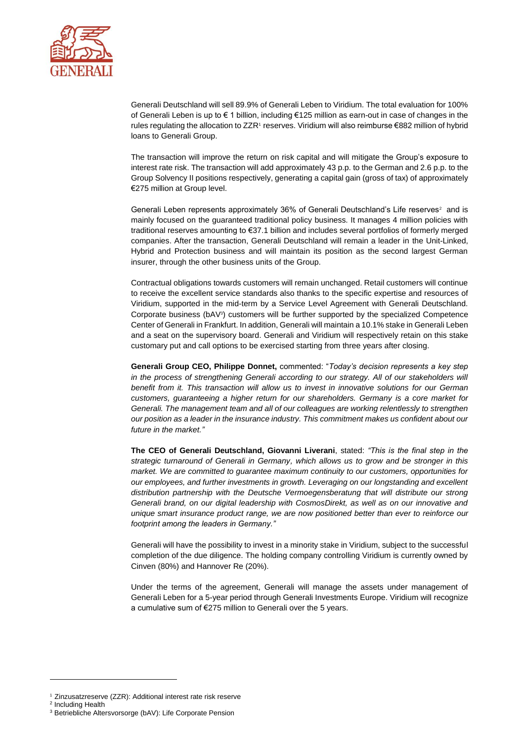

Generali Deutschland will sell 89.9% of Generali Leben to Viridium. The total evaluation for 100% of Generali Leben is up to € 1 billion, including €125 million as earn-out in case of changes in the rules regulating the allocation to ZZR1 reserves. Viridium will also reimburse €882 million of hybrid loans to Generali Group.

The transaction will improve the return on risk capital and will mitigate the Group's exposure to interest rate risk. The transaction will add approximately 43 p.p. to the German and 2.6 p.p. to the Group Solvency II positions respectively, generating a capital gain (gross of tax) of approximately €275 million at Group level.

Generali Leben represents approximately 36% of Generali Deutschland's Life reserves<sup>2</sup> and is mainly focused on the guaranteed traditional policy business. It manages 4 million policies with traditional reserves amounting to €37.1 billion and includes several portfolios of formerly merged companies. After the transaction, Generali Deutschland will remain a leader in the Unit-Linked, Hybrid and Protection business and will maintain its position as the second largest German insurer, through the other business units of the Group.

Contractual obligations towards customers will remain unchanged. Retail customers will continue to receive the excellent service standards also thanks to the specific expertise and resources of Viridium, supported in the mid-term by a Service Level Agreement with Generali Deutschland. Corporate business (bAV<sup>3</sup>) customers will be further supported by the specialized Competence Center of Generali in Frankfurt. In addition, Generali will maintain a 10.1% stake in Generali Leben and a seat on the supervisory board. Generali and Viridium will respectively retain on this stake customary put and call options to be exercised starting from three years after closing.

**Generali Group CEO, Philippe Donnet,** commented: "*Today's decision represents a key step in the process of strengthening Generali according to our strategy. All of our stakeholders will benefit from it. This transaction will allow us to invest in innovative solutions for our German customers, guaranteeing a higher return for our shareholders. Germany is a core market for Generali. The management team and all of our colleagues are working relentlessly to strengthen our position as a leader in the insurance industry. This commitment makes us confident about our future in the market."*

**The CEO of Generali Deutschland, Giovanni Liverani**, stated: *"This is the final step in the strategic turnaround of Generali in Germany, which allows us to grow and be stronger in this market. We are committed to guarantee maximum continuity to our customers, opportunities for our employees, and further investments in growth. Leveraging on our longstanding and excellent distribution partnership with the Deutsche Vermoegensberatung that will distribute our strong Generali brand, on our digital leadership with CosmosDirekt, as well as on our innovative and unique smart insurance product range, we are now positioned better than ever to reinforce our footprint among the leaders in Germany."*

Generali will have the possibility to invest in a minority stake in Viridium, subject to the successful completion of the due diligence. The holding company controlling Viridium is currently owned by Cinven (80%) and Hannover Re (20%).

Under the terms of the agreement, Generali will manage the assets under management of Generali Leben for a 5-year period through Generali Investments Europe. Viridium will recognize a cumulative sum of €275 million to Generali over the 5 years.

<sup>2</sup> Including Health

 $\overline{a}$ 

<sup>1</sup> Zinzusatzreserve (ZZR): Additional interest rate risk reserve

<sup>3</sup> Betriebliche Altersvorsorge (bAV): Life Corporate Pension